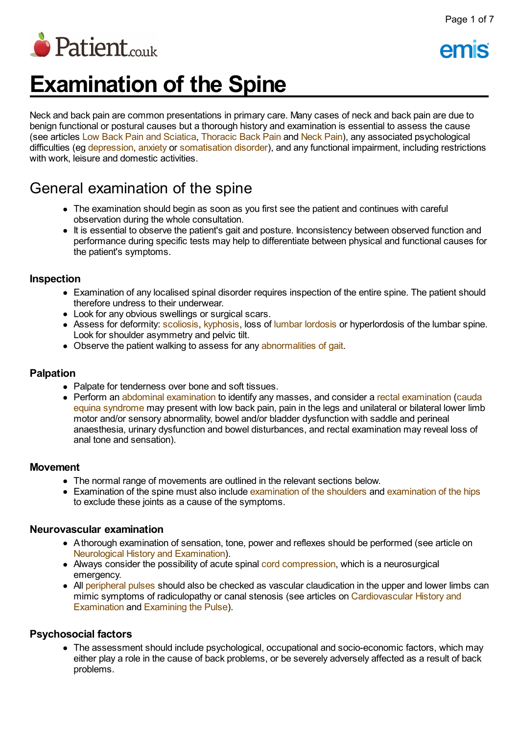

# **Examination of the Spine**

Neck and back pain are common presentations in primary care. Many cases of neck and back pain are due to benign functional or postural causes but a thorough history and examination is essential to assess the cause (see articles Low Back Pain and [Sciatica,](http://www.patient.co.uk/doctor/low-back-pain-and-sciatica) [Thoracic](http://www.patient.co.uk/doctor/thoracic-back-pain) Back Pain and [Neck](http://www.patient.co.uk/doctor/neck-pain-cervicalgia-and-torticollis) Pain), any associated psychological difficulties (eg [depression,](http://www.patient.co.uk/search.asp?searchterm=DEPRESSION&collections=PPsearch) [anxiety](http://www.patient.co.uk/search.asp?searchterm=GENERALISED+ANXIETY+DISORDER&collections=PPsearch) or [somatisation](http://www.patient.co.uk/search.asp?searchterm=NOTHING+WRONG+AT+ALL++SOMATIZATION+DISORDER+&collections=PPsearch) disorder), and any functional impairment, including restrictions with work, leisure and domestic activities.

# General examination of the spine

- The examination should begin as soon as you first see the patient and continues with careful observation during the whole consultation.
- It is essential to observe the patient's gait and posture. Inconsistency between observed function and performance during specific tests may help to differentiate between physical and functional causes for the patient's symptoms.

### **Inspection**

- Examination of any localised spinal disorder requires inspection of the entire spine. The patient should therefore undress to their underwear.
- Look for any obvious swellings or surgical scars.
- Assess for deformity: [scoliosis,](http://www.patient.co.uk/search.asp?searchterm=SCOLIOSIS&collections=PPsearch) [kyphosis,](http://www.patient.co.uk/search.asp?searchterm=KYPHOSIS&collections=PPsearch) loss of lumbar [lordosis](http://www.patient.co.uk/search.asp?searchterm=LORDOSIS+DEFORMITY+OF+SPINE&collections=PPsearch) or hyperlordosis of the lumbar spine. Look for shoulder asymmetry and pelvic tilt.
- Observe the patient walking to assess for any [abnormalities](http://www.patient.co.uk/search.asp?searchterm=GAIT+DISORDERS&collections=PPsearch) of gait.

### **Palpation**

- Palpate for tenderness over bone and soft tissues.
- Perform an abdominal [examination](http://www.patient.co.uk/search.asp?searchterm=CAUDA+EQUINA+SYNDROME&collections=PPsearch) to identify any masses, and consider a rectal examination (cauda equina syndrome may present with low back pain, pain in the legs and unilateral or bilateral lower limb motor and/or sensory abnormality, bowel and/or bladder dysfunction with saddle and perineal anaesthesia, urinary dysfunction and bowel disturbances, and rectal examination may reveal loss of anal tone and sensation).

#### **Movement**

- The normal range of movements are outlined in the relevant sections below.
- Examination of the spine must also include [examination](http://www.patient.co.uk/search.asp?searchterm=SHOULDER+EXAMINATION&collections=PPsearch) of the shoulders and [examination](http://www.patient.co.uk/search.asp?searchterm=HIP+EXAMINATION&collections=PPsearch) of the hips to exclude these joints as a cause of the symptoms.

#### **Neurovascular examination**

- Athorough examination of sensation, tone, power and reflexes should be performed (see article on [Neurological](http://www.patient.co.uk/doctor/neurological-history-and-examination) History and Examination).
- Always consider the possibility of acute spinal cord [compression,](http://www.patient.co.uk/search.asp?searchterm=SPINAL+CORD+COMPRESSION&collections=PPsearch) which is a neurosurgical emergency.
- All [peripheral](http://www.patient.co.uk/search.asp?searchterm=PERIPHERAL+PULSES&collections=PPsearch) pulses should also be checked as vascular claudication in the upper and lower limbs can mimic symptoms of radiculopathy or canal stenosis (see articles on [Cardiovascular](http://www.patient.co.uk/doctor/Cardiovascular-History-and-Examination.htm) History and Examination and [Examining](http://www.patient.co.uk/doctor/Examining-the-Pulse-(Different-Types).htm) the Pulse).

#### **Psychosocial factors**

• The assessment should include psychological, occupational and socio-economic factors, which may either play a role in the cause of back problems, or be severely adversely affected as a result of back problems.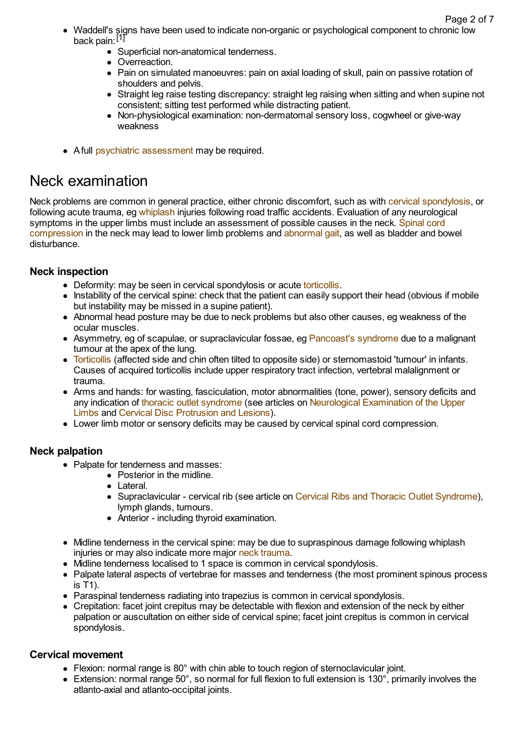- Waddell's signs have been used to indicate non-organic or psychological component to chronic low back pain: [1]
	- Superficial non-anatomical tenderness.
	- Overreaction
	- Pain on simulated manoeuvres: pain on axial loading of skull, pain on passive rotation of shoulders and pelvis.
	- Straight leg raise testing discrepancy: straight leg raising when sitting and when supine not consistent; sitting test performed while distracting patient.
	- Non-physiological examination: non-dermatomal sensory loss, cogwheel or give-way weakness
- A full psychiatric [assessment](http://www.patient.co.uk/search.asp?searchterm=PSYCHIATRIC+ASSESSMENT&collections=PPsearch) may be required.

# Neck examination

Neck problems are common in general practice, either chronic discomfort, such as with cervical [spondylosis,](http://www.patient.co.uk/search.asp?searchterm=CERVICAL+SPONDYLOSIS&collections=PPsearch) or following acute trauma, eg [whiplash](http://www.patient.co.uk/search.asp?searchterm=WHIPLASH+INJURY&collections=PPsearch) injuries following road traffic accidents. Evaluation of any neurological symptoms in the upper limbs must include an [assessment](http://www.patient.co.uk/search.asp?searchterm=SPINAL+CORD+COMPRESSION&collections=PPsearch) of possible causes in the neck. Spinal cord compression in the neck may lead to lower limb problems and [abnormal](http://www.patient.co.uk/search.asp?searchterm=GAIT+DISORDERS&collections=PPsearch) gait, as well as bladder and bowel disturbance.

# **Neck inspection**

- Deformity: may be seen in cervical spondylosis or acute [torticollis](http://www.patient.co.uk/search.asp?searchterm=TORTICOLLIS&collections=PPsearch).
- Instability of the cervical spine: check that the patient can easily support their head (obvious if mobile but instability may be missed in a supine patient).
- Abnormal head posture may be due to neck problems but also other causes, eg weakness of the ocular muscles.
- Asymmetry, eg of scapulae, or supraclavicular fossae, eg [Pancoast's](http://www.patient.co.uk/search.asp?searchterm=PANCOAST+S+SYNDROME&collections=PPsearch) syndrome due to a malignant tumour at the apex of the lung.
- [Torticollis](http://www.patient.co.uk/search.asp?searchterm=TORTICOLLIS&collections=PPsearch) (affected side and chin often tilted to opposite side) or sternomastoid 'tumour' in infants. Causes of acquired torticollis include upper respiratory tract infection, vertebral malalignment or trauma.
- Arms and hands: for wasting, fasciculation, motor abnormalities (tone, power), sensory deficits and any indication of thoracic outlet [syndrome](http://www.patient.co.uk/search.asp?searchterm=THORACIC+OUTLET+SYNDROME&collections=PPsearch) (see articles on Neurological [Examination](http://www.patient.co.uk/doctor/Neurological-Examination-of-the-Upper-Limbs.htm) of the Upper Limbs and Cervical Disc [Protrusion](http://www.patient.co.uk/doctor/cervical-disc-protrusion-and-lesions) and Lesions).
- Lower limb motor or sensory deficits may be caused by cervical spinal cord compression.

# **Neck palpation**

- Palpate for tenderness and masses:
	- Posterior in the midline.
	- Lateral.
	- Supraclavicular cervical rib (see article on Cervical Ribs and Thoracic Outlet [Syndrome](http://www.patient.co.uk/doctor/cervical-ribs-and-thoracic-outlet-syndrome)), lymph glands, tumours.
	- Anterior including thyroid examination.
- Midline tenderness in the cervical spine: may be due to supraspinous damage following whiplash injuries or may also indicate more major neck [trauma](http://www.patient.co.uk/search.asp?searchterm=NECK+TRAUMA&collections=PPsearch).
- Midline tenderness localised to 1 space is common in cervical spondylosis.
- Palpate lateral aspects of vertebrae for masses and tenderness (the most prominent spinous process is T1).
- Paraspinal tenderness radiating into trapezius is common in cervical spondylosis.
- Crepitation: facet joint crepitus may be detectable with flexion and extension of the neck by either palpation or auscultation on either side of cervical spine; facet joint crepitus is common in cervical spondylosis.

### **Cervical movement**

- Flexion: normal range is 80° with chin able to touch region of sternoclavicular joint.
- Extension: normal range 50°, so normal for full flexion to full extension is 130°, primarily involves the atlanto-axial and atlanto-occipital joints.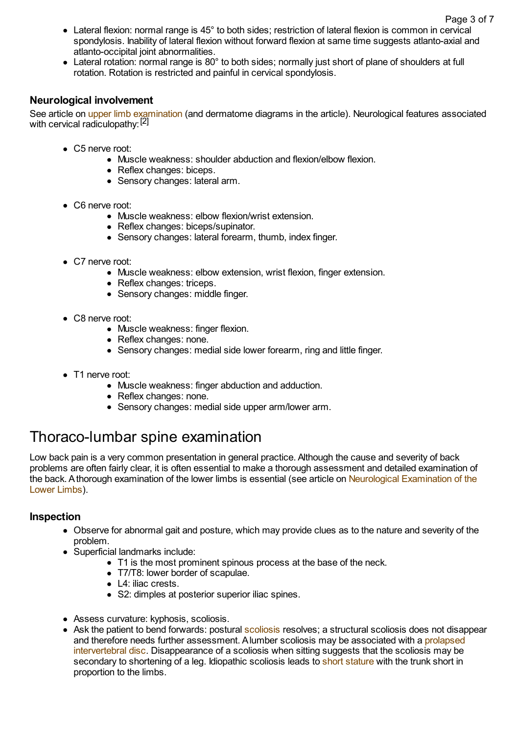- Lateral flexion: normal range is 45° to both sides; restriction of lateral flexion is common in cervical spondylosis. Inability of lateral flexion without forward flexion at same time suggests atlanto-axial and atlanto-occipital joint abnormalities.
- Lateral rotation: normal range is 80° to both sides; normally just short of plane of shoulders at full rotation. Rotation is restricted and painful in cervical spondylosis.

## **Neurological involvement**

See article on upper limb [examination](http://www.patient.co.uk/doctor/Neurological-Examination-of-the-Upper-Limbs.htm) (and dermatome diagrams in the article). Neurological features associated with cervical radiculopathy: [2]

- C5 nerve root:
	- Muscle weakness: shoulder abduction and flexion/elbow flexion.
	- Reflex changes: biceps.
	- Sensory changes: lateral arm.
- C6 nerve root:
	- Muscle weakness: elbow flexion/wrist extension.
	- Reflex changes: biceps/supinator.
	- Sensory changes: lateral forearm, thumb, index finger.
- C7 nerve root:
	- Muscle weakness: elbow extension, wrist flexion, finger extension.
	- Reflex changes: triceps.
	- Sensory changes: middle finger.
- C8 nerve root:
	- Muscle weakness: finger flexion.
	- Reflex changes: none.
	- Sensory changes: medial side lower forearm, ring and little finger.
- T1 nerve root:
	- Muscle weakness: finger abduction and adduction.
	- Reflex changes: none.
	- Sensory changes: medial side upper arm/lower arm.

# Thoraco-lumbar spine examination

Low back pain is a very common presentation in general practice. Although the cause and severity of back problems are often fairly clear, it is often essential to make a thorough assessment and detailed examination of the back. Athorough examination of the lower limbs is essential (see article on Neurological [Examination](http://www.patient.co.uk/doctor/Neurological-Examination-of-the-Lower-Limbs.htm) of the Lower Limbs).

# **Inspection**

- Observe for abnormal gait and posture, which may provide clues as to the nature and severity of the problem.
- Superficial landmarks include:
	- T1 is the most prominent spinous process at the base of the neck.
	- T7/T8: lower border of scapulae.
	- L4: iliac crests.
	- S2: dimples at posterior superior iliac spines.
- Assess curvature: kyphosis, scoliosis.
- Ask the patient to bend forwards: postural [scoliosis](http://www.patient.co.uk/search.asp?searchterm=SCOLIOSIS&collections=PPsearch) resolves; a structural scoliosis does not disappear and therefore needs further assessment. Alumber scoliosis may be associated with a prolapsed intervertebral disc. [Disappearance](http://www.patient.co.uk/search.asp?searchterm=DISC+PROLAPSE&collections=PPsearch) of a scoliosis when sitting suggests that the scoliosis may be secondary to shortening of a leg. Idiopathic scoliosis leads to short [stature](http://www.patient.co.uk/search.asp?searchterm=SHORT+STATURE&collections=PPsearch) with the trunk short in proportion to the limbs.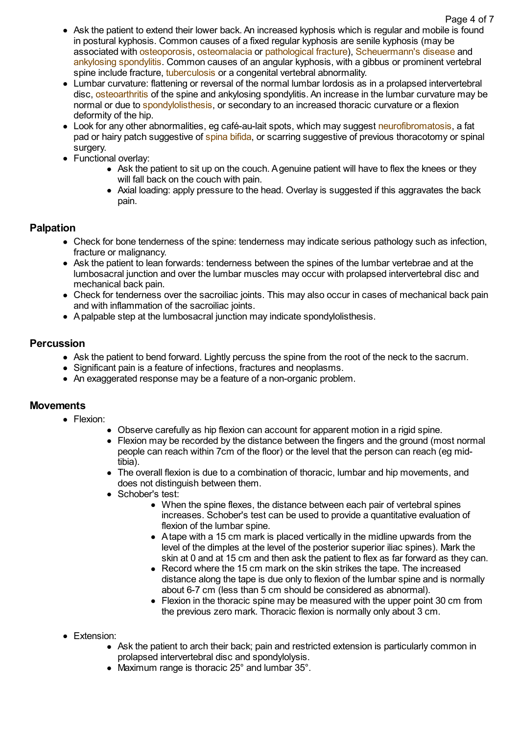- Ask the patient to extend their lower back. An increased kyphosis which is regular and mobile is found in postural kyphosis. Common causes of a fixed regular kyphosis are senile kyphosis (may be associated with [osteoporosis,](http://www.patient.co.uk/search.asp?searchterm=OSTEOPOROSIS&collections=PPsearch) [osteomalacia](http://www.patient.co.uk/search.asp?searchterm=OSTEOMALACIA&collections=PPsearch) or [pathological](http://www.patient.co.uk/search.asp?searchterm=PATHOLOGICAL+FRACTURES&collections=PPsearch) fracture), [Scheuermann's](http://www.patient.co.uk/search.asp?searchterm=SCHEUERMANN+S+DISEASE&collections=PPsearch) disease and [ankylosing](http://www.patient.co.uk/search.asp?searchterm=ANKYLOSING+SPONDYLITIS&collections=PPsearch) spondylitis. Common causes of an angular kyphosis, with a gibbus or prominent vertebral spine include fracture, [tuberculosis](http://www.patient.co.uk/search.asp?searchterm=MYCOBACTERIUM+TUBERCULOSIS&collections=PPsearch) or a congenital vertebral abnormality.
- Lumbar curvature: flattening or reversal of the normal lumbar lordosis as in a prolapsed intervertebral disc, [osteoarthritis](http://www.patient.co.uk/search.asp?searchterm=OSTEOARTHRITIS&collections=PPsearch) of the spine and ankylosing spondylitis. An increase in the lumbar curvature may be normal or due to [spondylolisthesis,](http://www.patient.co.uk/search.asp?searchterm=SPONDYLOLISTHESIS&collections=PPsearch) or secondary to an increased thoracic curvature or a flexion deformity of the hip.
- Look for any other abnormalities, eg café-au-lait spots, which may suggest [neurofibromatosis,](http://www.patient.co.uk/search.asp?searchterm=NEUROFIBROMATOSIS&collections=PPsearch) a fat pad or hairy patch suggestive of [spina](http://www.patient.co.uk/search.asp?searchterm=SPINA+BIFIDA&collections=PPsearch) bifida, or scarring suggestive of previous thoracotomy or spinal surgery.
- Functional overlay:
	- Ask the patient to sit up on the couch. Agenuine patient will have to flex the knees or they will fall back on the couch with pain.
	- Axial loading: apply pressure to the head. Overlay is suggested if this aggravates the back pain.

# **Palpation**

- Check for bone tenderness of the spine: tenderness may indicate serious pathology such as infection, fracture or malignancy.
- Ask the patient to lean forwards: tenderness between the spines of the lumbar vertebrae and at the lumbosacral junction and over the lumbar muscles may occur with prolapsed intervertebral disc and mechanical back pain.
- Check for tenderness over the sacroiliac joints. This may also occur in cases of mechanical back pain and with inflammation of the sacroiliac joints.
- Apalpable step at the lumbosacral junction may indicate spondylolisthesis.

# **Percussion**

- Ask the patient to bend forward. Lightly percuss the spine from the root of the neck to the sacrum.
- Significant pain is a feature of infections, fractures and neoplasms.
- An exaggerated response may be a feature of a non-organic problem.

### **Movements**

- Flexion:
	- Observe carefully as hip flexion can account for apparent motion in a rigid spine.
	- Flexion may be recorded by the distance between the fingers and the ground (most normal people can reach within 7cm of the floor) or the level that the person can reach (eg midtibia).
	- The overall flexion is due to a combination of thoracic, lumbar and hip movements, and does not distinguish between them.
	- Schober's test:
		- When the spine flexes, the distance between each pair of vertebral spines increases. Schober's test can be used to provide a quantitative evaluation of flexion of the lumbar spine.
		- Atape with a 15 cm mark is placed vertically in the midline upwards from the level of the dimples at the level of the posterior superior iliac spines). Mark the skin at 0 and at 15 cm and then ask the patient to flex as far forward as they can.
		- Record where the 15 cm mark on the skin strikes the tape. The increased distance along the tape is due only to flexion of the lumbar spine and is normally about 6-7 cm (less than 5 cm should be considered as abnormal).
		- Flexion in the thoracic spine may be measured with the upper point 30 cm from the previous zero mark. Thoracic flexion is normally only about 3 cm.
- Extension:
	- Ask the patient to arch their back; pain and restricted extension is particularly common in prolapsed intervertebral disc and spondylolysis.
	- Maximum range is thoracic 25° and lumbar 35°.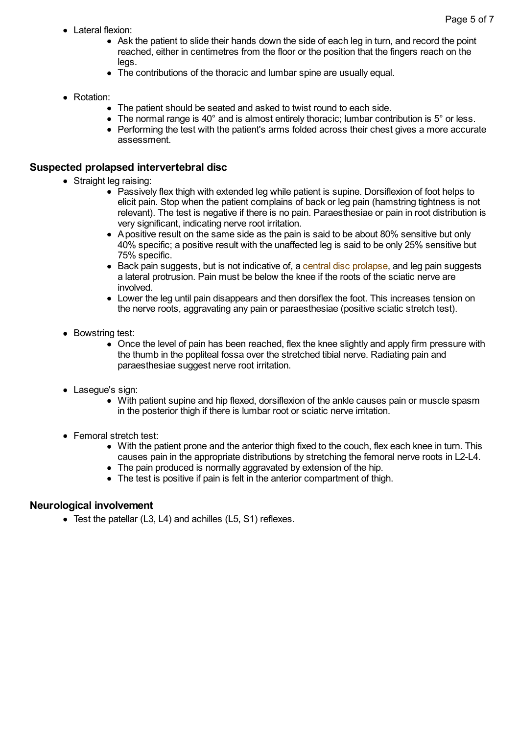- $\bullet$  Lateral flexion:
	- Ask the patient to slide their hands down the side of each leg in turn, and record the point reached, either in centimetres from the floor or the position that the fingers reach on the legs.
	- The contributions of the thoracic and lumbar spine are usually equal.
- Rotation:
	- The patient should be seated and asked to twist round to each side.
	- $\bullet$  The normal range is 40 $\degree$  and is almost entirely thoracic; lumbar contribution is 5 $\degree$  or less.
	- Performing the test with the patient's arms folded across their chest gives a more accurate assessment.

### **Suspected prolapsed intervertebral disc**

- Straight leg raising:
	- Passively flex thigh with extended leg while patient is supine. Dorsiflexion of foot helps to elicit pain. Stop when the patient complains of back or leg pain (hamstring tightness is not relevant). The test is negative if there is no pain. Paraesthesiae or pain in root distribution is very significant, indicating nerve root irritation.
	- Apositive result on the same side as the pain is said to be about 80% sensitive but only 40% specific; a positive result with the unaffected leg is said to be only 25% sensitive but 75% specific.
	- Back pain suggests, but is not indicative of, a central disc [prolapse](http://www.patient.co.uk/search.asp?searchterm=CENTRAL+DISC+PROTRUSION&collections=PPsearch), and leg pain suggests a lateral protrusion. Pain must be below the knee if the roots of the sciatic nerve are involved.
	- Lower the leg until pain disappears and then dorsiflex the foot. This increases tension on the nerve roots, aggravating any pain or paraesthesiae (positive sciatic stretch test).
- Bowstring test:
	- Once the level of pain has been reached, flex the knee slightly and apply firm pressure with the thumb in the popliteal fossa over the stretched tibial nerve. Radiating pain and paraesthesiae suggest nerve root irritation.
- Lasegue's sign:
	- With patient supine and hip flexed, dorsiflexion of the ankle causes pain or muscle spasm in the posterior thigh if there is lumbar root or sciatic nerve irritation.
- Femoral stretch test:
	- With the patient prone and the anterior thigh fixed to the couch, flex each knee in turn. This causes pain in the appropriate distributions by stretching the femoral nerve roots in L2-L4.
	- The pain produced is normally aggravated by extension of the hip.
	- The test is positive if pain is felt in the anterior compartment of thigh.

### **Neurological involvement**

Test the patellar (L3, L4) and achilles (L5, S1) reflexes.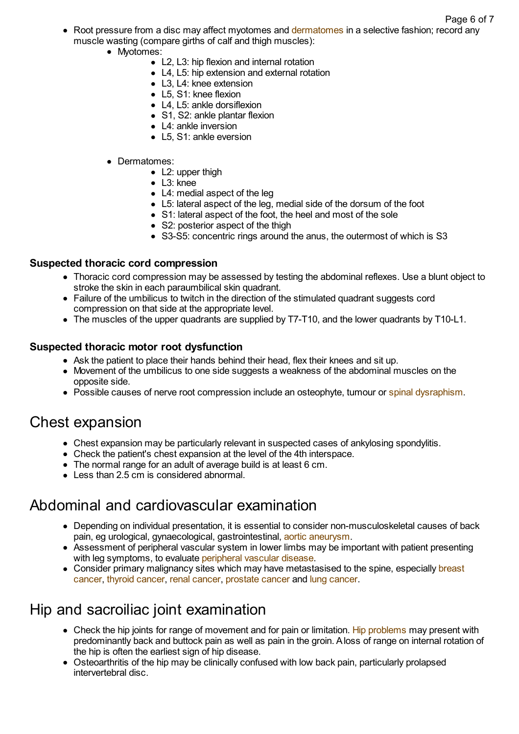Page 6 of 7

- Root pressure from a disc may affect myotomes and [dermatomes](http://www.patient.co.uk/search.asp?searchterm=DERMATOMES&collections=PPsearch) in a selective fashion; record any muscle wasting (compare girths of calf and thigh muscles):
	- Myotomes:
		- L2, L3: hip flexion and internal rotation
		- L4, L5; hip extension and external rotation
		- L3, L4: knee extension
		- L5, S1: knee flexion
		- L4, L5; ankle dorsiflexion
		- S1, S2: ankle plantar flexion
		- L4: ankle inversion
		- L5, S1: ankle eversion
	- Dermatomes:
		- L2: upper thigh
		- L3: knee
		- L4: medial aspect of the leg
		- L5: lateral aspect of the leg, medial side of the dorsum of the foot
		- S1: lateral aspect of the foot, the heel and most of the sole
		- S2: posterior aspect of the thigh
		- S3-S5: concentric rings around the anus, the outermost of which is S3

### **Suspected thoracic cord compression**

- Thoracic cord compression may be assessed by testing the abdominal reflexes. Use a blunt object to stroke the skin in each paraumbilical skin quadrant.
- Failure of the umbilicus to twitch in the direction of the stimulated quadrant suggests cord compression on that side at the appropriate level.
- The muscles of the upper quadrants are supplied by T7-T10, and the lower quadrants by T10-L1.

# **Suspected thoracic motor root dysfunction**

- Ask the patient to place their hands behind their head, flex their knees and sit up.
- Movement of the umbilicus to one side suggests a weakness of the abdominal muscles on the opposite side.
- Possible causes of nerve root compression include an osteophyte, tumour or spinal [dysraphism.](http://www.patient.co.uk/search.asp?searchterm=SPINA+BIFIDA&collections=PPsearch)

# Chest expansion

- Chest expansion may be particularly relevant in suspected cases of ankylosing spondylitis.
- Check the patient's chest expansion at the level of the 4th interspace.
- The normal range for an adult of average build is at least 6 cm.
- Less than 2.5 cm is considered abnormal.

# Abdominal and cardiovascular examination

- Depending on individual presentation, it is essential to consider non-musculoskeletal causes of back pain, eg urological, gynaecological, gastrointestinal, aortic [aneurysm](http://www.patient.co.uk/search.asp?searchterm=AORTIC+ANEURYSM&collections=PPsearch).
- Assessment of peripheral vascular system in lower limbs may be important with patient presenting with leg symptoms, to evaluate [peripheral](http://www.patient.co.uk/search.asp?searchterm=OCCLUSIVE+PERIPHERAL+VASCULAR+DISEASE&collections=PPsearch) vascular disease.
- Consider primary malignancy sites which may have [metastasised](http://www.patient.co.uk/search.asp?searchterm=BREAST+CANCER&collections=PPsearch) to the spine, especially breast cancer, thyroid [cancer,](http://www.patient.co.uk/search.asp?searchterm=THYROID+CANCER&collections=PPsearch) renal [cancer,](http://www.patient.co.uk/search.asp?searchterm=KIDNEY+CANCER&collections=PPsearch) [prostate](http://www.patient.co.uk/search.asp?searchterm=PROSTATE+CANCER&collections=PPsearch) cancer and lung [cancer.](http://www.patient.co.uk/search.asp?searchterm=LUNG+CANCER&collections=PPsearch)

# Hip and sacroiliac joint examination

- Check the hip joints for range of movement and for pain or limitation. Hip [problems](http://www.patient.co.uk/search.asp?searchterm=HIP+PROBLEMS&collections=PPsearch) may present with predominantly back and buttock pain as well as pain in the groin. Aloss of range on internal rotation of the hip is often the earliest sign of hip disease.
- Osteoarthritis of the hip may be clinically confused with low back pain, particularly prolapsed intervertebral disc.